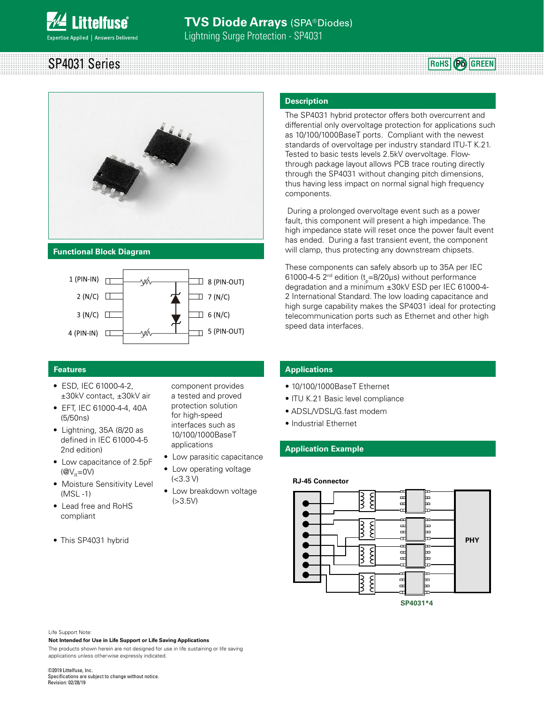

Lightning Surge Protection - SP4031

| _____                  |  |
|------------------------|--|
| SP4031<br>$n \times n$ |  |
| менем                  |  |
| ----------             |  |
|                        |  |
|                        |  |



#### **Functional Block Diagram**

*<u>ittelfuse</u>* 

**xpertise Applied** | Answers Delivered



#### **Features**

- ESD, IEC 61000-4-2, ±30kV contact, ±30kV air
- EFT, IEC 61000-4-4, 40A (5/50ns)
- Lightning, 35A (8/20 as defined in IEC 61000-4-5 2nd edition)
- Low capacitance of 2.5pF  $(\mathcal{Q}V_{p}=0V)$
- Moisture Sensitivity Level (MSL -1)
- Lead free and RoHS compliant
- This SP4031 hybrid

component provides a tested and proved protection solution for high-speed interfaces such as 10/100/1000BaseT applications

- Low parasitic capacitance
- Low operating voltage (<3.3 V)
- Low breakdown voltage  $( > 3.5V)$

#### **Description**

The SP4031 hybrid protector offers both overcurrent and differential only overvoltage protection for applications such as 10/100/1000BaseT ports. Compliant with the newest standards of overvoltage per industry standard ITU-T K.21. Tested to basic tests levels 2.5kV overvoltage. Flowthrough package layout allows PCB trace routing directly through the SP4031 without changing pitch dimensions, thus having less impact on normal signal high frequency components.

 During a prolonged overvoltage event such as a power fault, this component will present a high impedance. The high impedance state will reset once the power fault event has ended. During a fast transient event, the component will clamp, thus protecting any downstream chipsets.

These components can safely absorb up to 35A per IEC 61000-4-5 2<sup>nd</sup> edition (t<sub>p</sub>=8/20μs) without performance degradation and a minimum ±30kV ESD per IEC 61000-4- 2 International Standard. The low loading capacitance and high surge capability makes the SP4031 ideal for protecting telecommunication ports such as Ethernet and other high speed data interfaces.

#### **Applications**

- 10/100/1000BaseT Ethernet
- ITU K.21 Basic level compliance
- ADSL/VDSL/G.fast modem
- Industrial Ethernet

#### **Application Example**



Life Support Note:

**Not Intended for Use in Life Support or Life Saving Applications** The products shown herein are not designed for use in life sustaining or life saving

©2019 Littelfuse, Inc. Specifications are subject to change without notice. Revision: 02/28/19

applications unless otherwise expressly indicated.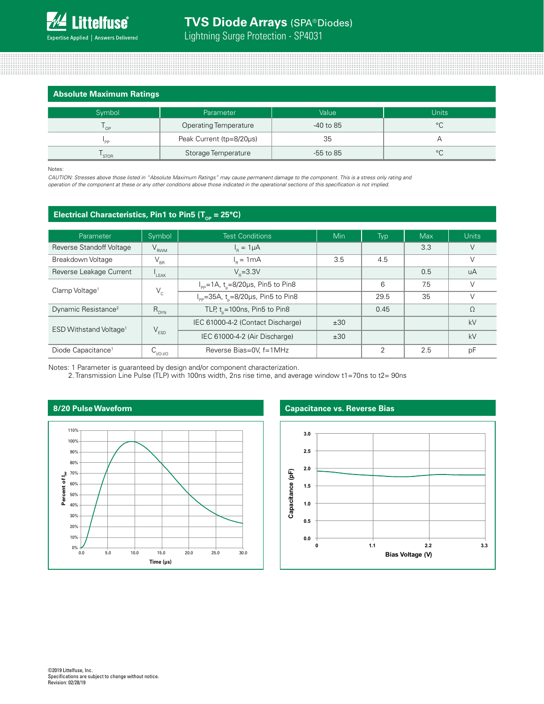

Lightning Surge Protection - SP4031

| Absolute Maximum Ratings |                              |             |             |  |  |  |  |
|--------------------------|------------------------------|-------------|-------------|--|--|--|--|
| Symbol                   | Parameter                    | Value       | Units       |  |  |  |  |
| ' OP                     | <b>Operating Temperature</b> | $-40$ to 85 | $^{\circ}C$ |  |  |  |  |
| PP <sup></sup>           | Peak Current (tp=8/20µs)     | 35          | $\forall$   |  |  |  |  |
| <b>STOR</b>              | Storage Temperature          | $-55$ to 85 | $^{\circ}C$ |  |  |  |  |

Notes:

*CAUTION: Stresses above those listed in "Absolute Maximum Ratings" may cause permanent damage to the component. This is a stress only rating and operation of the component at these or any other conditions above those indicated in the operational sections of this specification is not implied.*

#### Electrical Characteristics, Pin1 to Pin5 (T<sub>op</sub> = 25°C)

| Symbol<br>Parameter                |                  | <b>Test Conditions</b>                                       | Min | Typ            | <b>Max</b> | <b>Units</b> |
|------------------------------------|------------------|--------------------------------------------------------------|-----|----------------|------------|--------------|
| Reverse Standoff Voltage           | $V_{RWM}$        | $I_p = 1 \mu A$                                              |     |                | 3.3        |              |
| Breakdown Voltage                  | $\rm V_{_{BR}}$  | $I_n = 1mA$                                                  | 3.5 | 4.5            |            |              |
| Reverse Leakage Current            | $L_{\text{EAK}}$ | $V_{\rm p} = 3.3V$                                           |     |                | 0.5        | uA           |
| Clamp Voltage <sup>1</sup>         | $V_c$            | $I_{\text{pp}} = 1A$ , t <sub>p</sub> =8/20µs, Pin5 to Pin8  |     | 6              | 7.5        |              |
|                                    |                  | $I_{\text{pp}} = 35A$ , t <sub>n</sub> =8/20µs, Pin5 to Pin8 |     | 29.5           | 35         |              |
| Dynamic Resistance <sup>2</sup>    | $R_{DYN}$        | TLP, $t_{n}$ =100ns, Pin5 to Pin8                            |     | 0.45           |            | Ω            |
| ESD Withstand Voltage <sup>1</sup> | $V_{ESD}$        | IEC 61000-4-2 (Contact Discharge)                            | ±30 |                |            | kV           |
|                                    |                  | IEC 61000-4-2 (Air Discharge)                                | ±30 |                |            | kV           |
| Diode Capacitance <sup>1</sup>     | $C_{VO- VO}$     | Reverse Bias=0V, f=1MHz                                      |     | $\mathfrak{D}$ | 2.5        | pF           |

Notes: 1 Parameter is guaranteed by design and/or component characterization.

2. Transmission Line Pulse (TLP) with 100ns width, 2ns rise time, and average window t1=70ns to t2= 90ns

#### **8/20 Pulse Waveform**



#### **Capacitance vs. Reverse Bias**

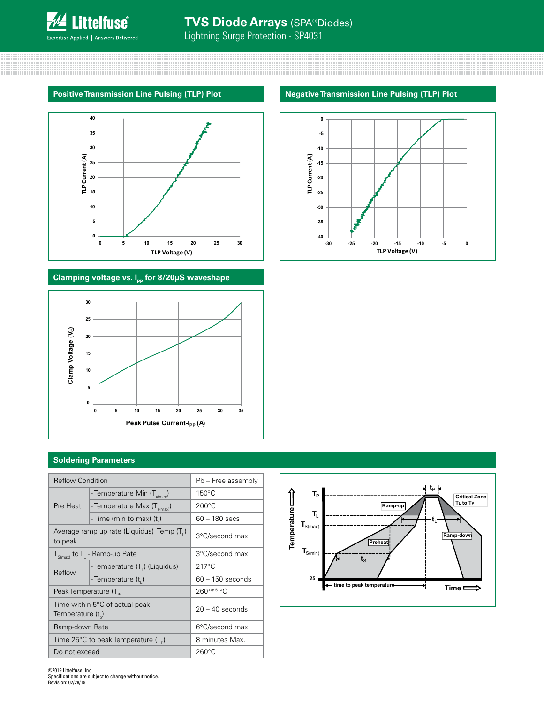

Lightning Surge Protection - SP4031

#### **Positive Transmission Line Pulsing (TLP) Plot Negative Transmission Line Pulsing (TLP) Plot**



#### **Clamping voltage vs. Ipp for 8/20μS waveshape**



#### **Soldering Parameters**

| <b>Reflow Condition</b>        |                                                        | Pb - Free assembly |  |
|--------------------------------|--------------------------------------------------------|--------------------|--|
|                                | - Temperature Min (T <sub>s(min</sub> )                | $150^{\circ}$ C    |  |
| Pre Heat                       | - Temperature Max (T <sub>s(max)</sub> )               | $200^{\circ}$ C    |  |
|                                | - Time (min to max) (t)                                | $60 - 180$ secs    |  |
| to peak                        | Average ramp up rate (Liquidus) Temp (T <sub>1</sub> ) | 3°C/second max     |  |
|                                | $T_{S(max)}$ to $T_{L}$ - Ramp-up Rate                 | 3°C/second max     |  |
| Reflow                         | - Temperature (T <sub>1</sub> ) (Liquidus)             | $217^{\circ}$ C    |  |
|                                | - Temperature (t,)                                     | $60 - 150$ seconds |  |
| Peak Temperature $(T_{\rm p})$ |                                                        | $260^{+0/5}$ °C    |  |
| Temperature $(t_{n})$          | Time within 5°C of actual peak                         | $20 - 40$ seconds  |  |
| Ramp-down Rate                 |                                                        | 6°C/second max     |  |
|                                | Time 25°C to peak Temperature (T <sub>a</sub> )        | 8 minutes Max.     |  |
| Do not exceed                  |                                                        | $260^{\circ}$ C    |  |



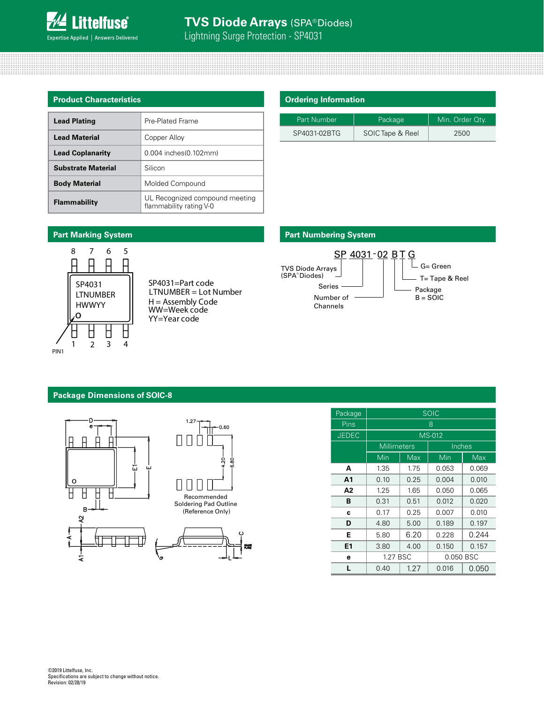

Lightning Surge Protection - SP4031

| <b>Product Characteristics</b> |                                                           |  |  |  |
|--------------------------------|-----------------------------------------------------------|--|--|--|
| <b>Lead Plating</b>            | Pre-Plated Frame                                          |  |  |  |
| <b>Lead Material</b>           | Copper Alloy                                              |  |  |  |
| <b>Lead Coplanarity</b>        | 0.004 inches(0.102mm)                                     |  |  |  |
| <b>Substrate Material</b>      | Silicon                                                   |  |  |  |
| <b>Body Material</b>           | Molded Compound                                           |  |  |  |
| <b>Flammability</b>            | UL Recognized compound meeting<br>flammability rating V-0 |  |  |  |

#### **Ordering Information**

| Part Number  | Package          | Min. Order Qtv. |
|--------------|------------------|-----------------|
| SP4031-02BTG | SOIC Tape & Reel | 2500            |

#### **Part Numbering System**



# **Part Marking System**



SP4031=Part code LTNUMBER = Lot Number H = Assembly Code WW=Week code YY=Year code

### **Package Dimensions of SOIC-8**



| Package        | <b>SOIC</b>        |      |                |       |  |
|----------------|--------------------|------|----------------|-------|--|
| Pins           | 8                  |      |                |       |  |
| <b>JEDEC</b>   | <b>MS-012</b>      |      |                |       |  |
|                | <b>Millimeters</b> |      | Inches         |       |  |
|                | Min                | Max  | Min            | Max   |  |
| A              | 1.35               | 1.75 | 0.053          | 0.069 |  |
| A <sub>1</sub> | 0.10               | 0.25 | 0.004          | 0.010 |  |
| A <sub>2</sub> | 1.25               | 1.65 | 0.050          | 0.065 |  |
| B              | 0.31               | 0.51 | 0.012          | 0.020 |  |
| C              | 0.17               | 0.25 | 0.007          | 0.010 |  |
| D              | 5.00<br>4.80       |      | 0.189          | 0.197 |  |
| E              | 5.80               | 6.20 | 0.228          | 0.244 |  |
| E1             | 3.80               | 4.00 | 0.150          | 0.157 |  |
| e              | 1.27 BSC           |      | 0.050 BSC      |       |  |
| L              | 0.40               | 1.27 | 0.050<br>0.016 |       |  |